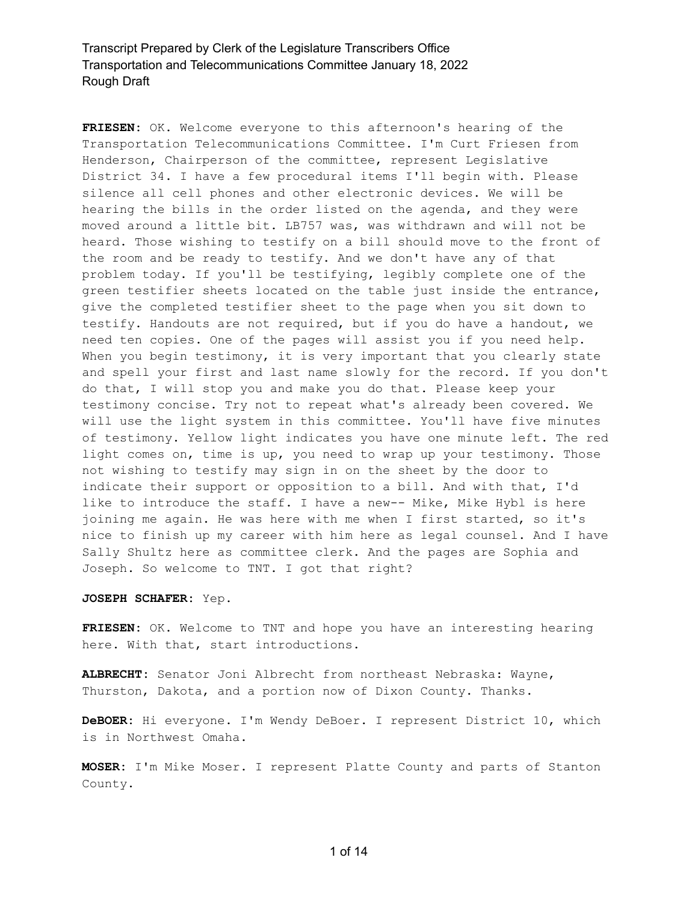**FRIESEN:** OK. Welcome everyone to this afternoon's hearing of the Transportation Telecommunications Committee. I'm Curt Friesen from Henderson, Chairperson of the committee, represent Legislative District 34. I have a few procedural items I'll begin with. Please silence all cell phones and other electronic devices. We will be hearing the bills in the order listed on the agenda, and they were moved around a little bit. LB757 was, was withdrawn and will not be heard. Those wishing to testify on a bill should move to the front of the room and be ready to testify. And we don't have any of that problem today. If you'll be testifying, legibly complete one of the green testifier sheets located on the table just inside the entrance, give the completed testifier sheet to the page when you sit down to testify. Handouts are not required, but if you do have a handout, we need ten copies. One of the pages will assist you if you need help. When you begin testimony, it is very important that you clearly state and spell your first and last name slowly for the record. If you don't do that, I will stop you and make you do that. Please keep your testimony concise. Try not to repeat what's already been covered. We will use the light system in this committee. You'll have five minutes of testimony. Yellow light indicates you have one minute left. The red light comes on, time is up, you need to wrap up your testimony. Those not wishing to testify may sign in on the sheet by the door to indicate their support or opposition to a bill. And with that, I'd like to introduce the staff. I have a new-- Mike, Mike Hybl is here joining me again. He was here with me when I first started, so it's nice to finish up my career with him here as legal counsel. And I have Sally Shultz here as committee clerk. And the pages are Sophia and Joseph. So welcome to TNT. I got that right?

#### **JOSEPH SCHAFER:** Yep.

**FRIESEN:** OK. Welcome to TNT and hope you have an interesting hearing here. With that, start introductions.

**ALBRECHT:** Senator Joni Albrecht from northeast Nebraska: Wayne, Thurston, Dakota, and a portion now of Dixon County. Thanks.

**DeBOER:** Hi everyone. I'm Wendy DeBoer. I represent District 10, which is in Northwest Omaha.

**MOSER:** I'm Mike Moser. I represent Platte County and parts of Stanton County.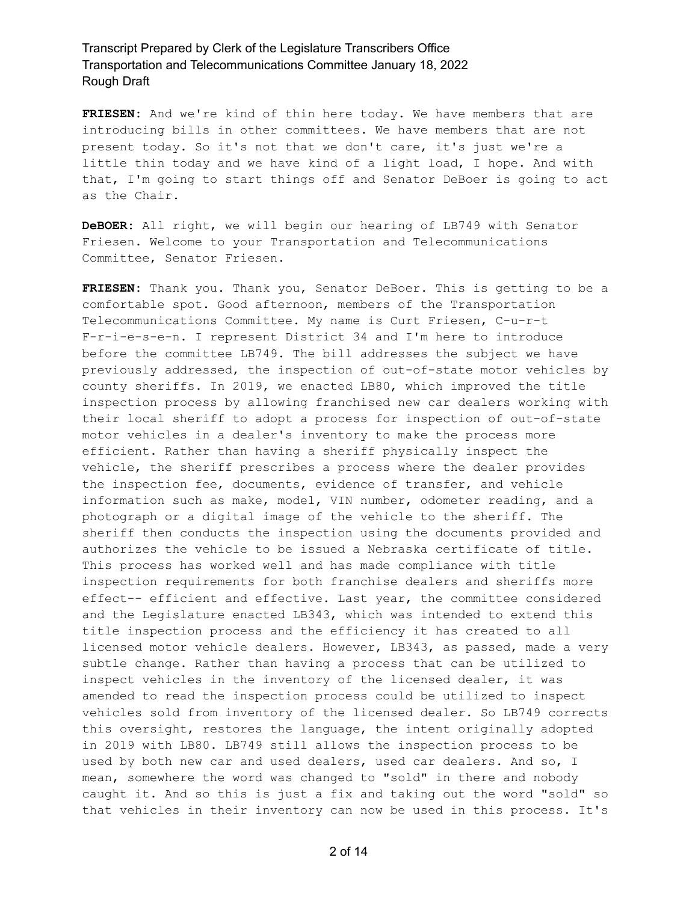**FRIESEN:** And we're kind of thin here today. We have members that are introducing bills in other committees. We have members that are not present today. So it's not that we don't care, it's just we're a little thin today and we have kind of a light load, I hope. And with that, I'm going to start things off and Senator DeBoer is going to act as the Chair.

**DeBOER:** All right, we will begin our hearing of LB749 with Senator Friesen. Welcome to your Transportation and Telecommunications Committee, Senator Friesen.

**FRIESEN:** Thank you. Thank you, Senator DeBoer. This is getting to be a comfortable spot. Good afternoon, members of the Transportation Telecommunications Committee. My name is Curt Friesen, C-u-r-t F-r-i-e-s-e-n. I represent District 34 and I'm here to introduce before the committee LB749. The bill addresses the subject we have previously addressed, the inspection of out-of-state motor vehicles by county sheriffs. In 2019, we enacted LB80, which improved the title inspection process by allowing franchised new car dealers working with their local sheriff to adopt a process for inspection of out-of-state motor vehicles in a dealer's inventory to make the process more efficient. Rather than having a sheriff physically inspect the vehicle, the sheriff prescribes a process where the dealer provides the inspection fee, documents, evidence of transfer, and vehicle information such as make, model, VIN number, odometer reading, and a photograph or a digital image of the vehicle to the sheriff. The sheriff then conducts the inspection using the documents provided and authorizes the vehicle to be issued a Nebraska certificate of title. This process has worked well and has made compliance with title inspection requirements for both franchise dealers and sheriffs more effect-- efficient and effective. Last year, the committee considered and the Legislature enacted LB343, which was intended to extend this title inspection process and the efficiency it has created to all licensed motor vehicle dealers. However, LB343, as passed, made a very subtle change. Rather than having a process that can be utilized to inspect vehicles in the inventory of the licensed dealer, it was amended to read the inspection process could be utilized to inspect vehicles sold from inventory of the licensed dealer. So LB749 corrects this oversight, restores the language, the intent originally adopted in 2019 with LB80. LB749 still allows the inspection process to be used by both new car and used dealers, used car dealers. And so, I mean, somewhere the word was changed to "sold" in there and nobody caught it. And so this is just a fix and taking out the word "sold" so that vehicles in their inventory can now be used in this process. It's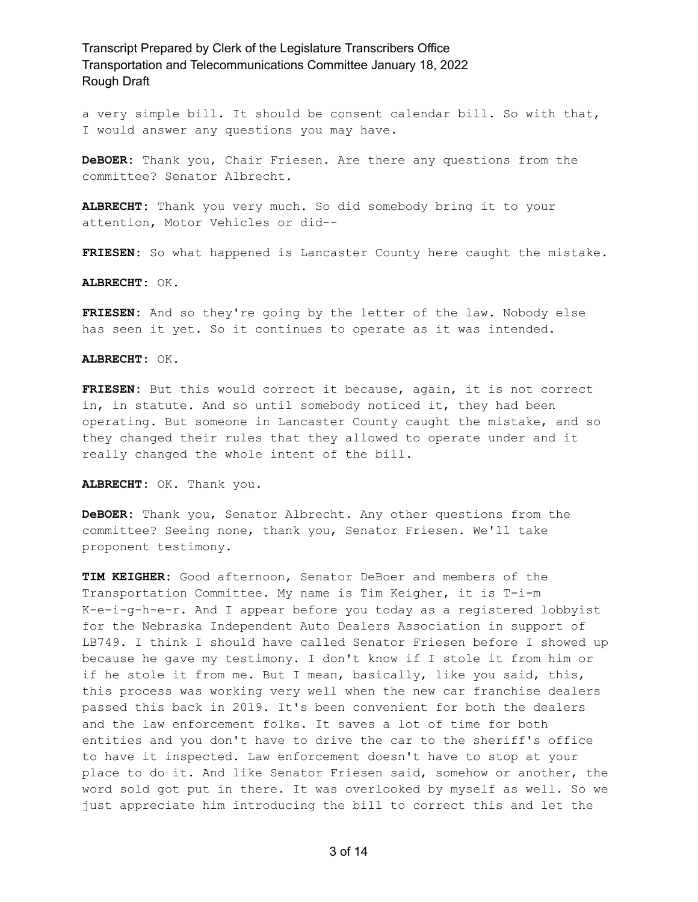a very simple bill. It should be consent calendar bill. So with that, I would answer any questions you may have.

**DeBOER:** Thank you, Chair Friesen. Are there any questions from the committee? Senator Albrecht.

**ALBRECHT:** Thank you very much. So did somebody bring it to your attention, Motor Vehicles or did--

**FRIESEN:** So what happened is Lancaster County here caught the mistake.

**ALBRECHT:** OK.

**FRIESEN:** And so they're going by the letter of the law. Nobody else has seen it yet. So it continues to operate as it was intended.

**ALBRECHT:** OK.

**FRIESEN:** But this would correct it because, again, it is not correct in, in statute. And so until somebody noticed it, they had been operating. But someone in Lancaster County caught the mistake, and so they changed their rules that they allowed to operate under and it really changed the whole intent of the bill.

**ALBRECHT:** OK. Thank you.

**DeBOER:** Thank you, Senator Albrecht. Any other questions from the committee? Seeing none, thank you, Senator Friesen. We'll take proponent testimony.

**TIM KEIGHER:** Good afternoon, Senator DeBoer and members of the Transportation Committee. My name is Tim Keigher, it is T-i-m K-e-i-g-h-e-r. And I appear before you today as a registered lobbyist for the Nebraska Independent Auto Dealers Association in support of LB749. I think I should have called Senator Friesen before I showed up because he gave my testimony. I don't know if I stole it from him or if he stole it from me. But I mean, basically, like you said, this, this process was working very well when the new car franchise dealers passed this back in 2019. It's been convenient for both the dealers and the law enforcement folks. It saves a lot of time for both entities and you don't have to drive the car to the sheriff's office to have it inspected. Law enforcement doesn't have to stop at your place to do it. And like Senator Friesen said, somehow or another, the word sold got put in there. It was overlooked by myself as well. So we just appreciate him introducing the bill to correct this and let the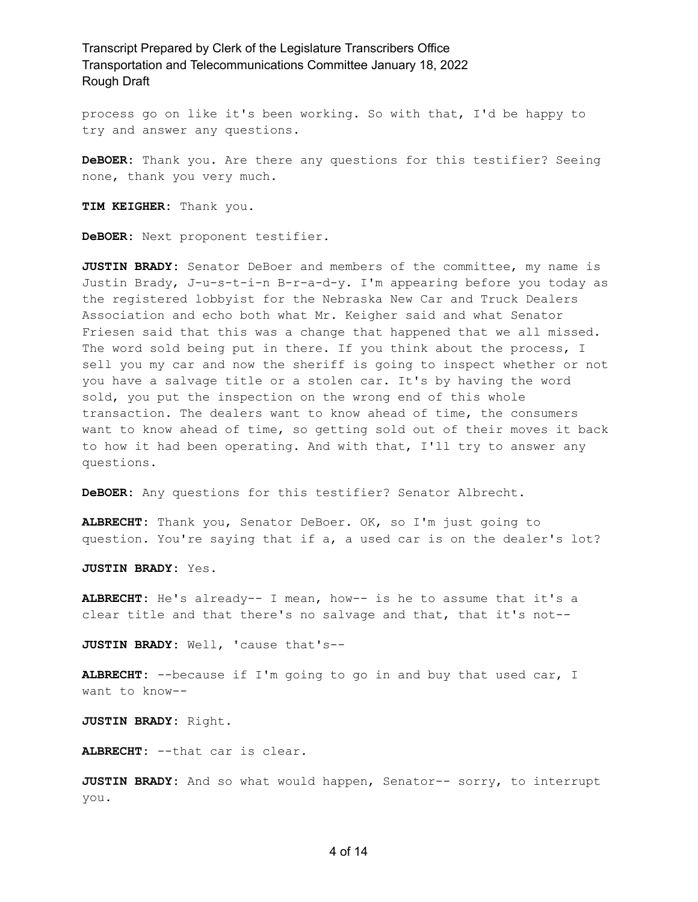process go on like it's been working. So with that, I'd be happy to try and answer any questions.

**DeBOER:** Thank you. Are there any questions for this testifier? Seeing none, thank you very much.

**TIM KEIGHER:** Thank you.

**DeBOER:** Next proponent testifier.

**JUSTIN BRADY:** Senator DeBoer and members of the committee, my name is Justin Brady, J-u-s-t-i-n B-r-a-d-y. I'm appearing before you today as the registered lobbyist for the Nebraska New Car and Truck Dealers Association and echo both what Mr. Keigher said and what Senator Friesen said that this was a change that happened that we all missed. The word sold being put in there. If you think about the process, I sell you my car and now the sheriff is going to inspect whether or not you have a salvage title or a stolen car. It's by having the word sold, you put the inspection on the wrong end of this whole transaction. The dealers want to know ahead of time, the consumers want to know ahead of time, so getting sold out of their moves it back to how it had been operating. And with that, I'll try to answer any questions.

**DeBOER:** Any questions for this testifier? Senator Albrecht.

**ALBRECHT:** Thank you, Senator DeBoer. OK, so I'm just going to question. You're saying that if a, a used car is on the dealer's lot?

**JUSTIN BRADY:** Yes.

**ALBRECHT:** He's already-- I mean, how-- is he to assume that it's a clear title and that there's no salvage and that, that it's not--

**JUSTIN BRADY:** Well, 'cause that's--

**ALBRECHT:** --because if I'm going to go in and buy that used car, I want to know--

**JUSTIN BRADY:** Right.

**ALBRECHT:** --that car is clear.

**JUSTIN BRADY:** And so what would happen, Senator-- sorry, to interrupt you.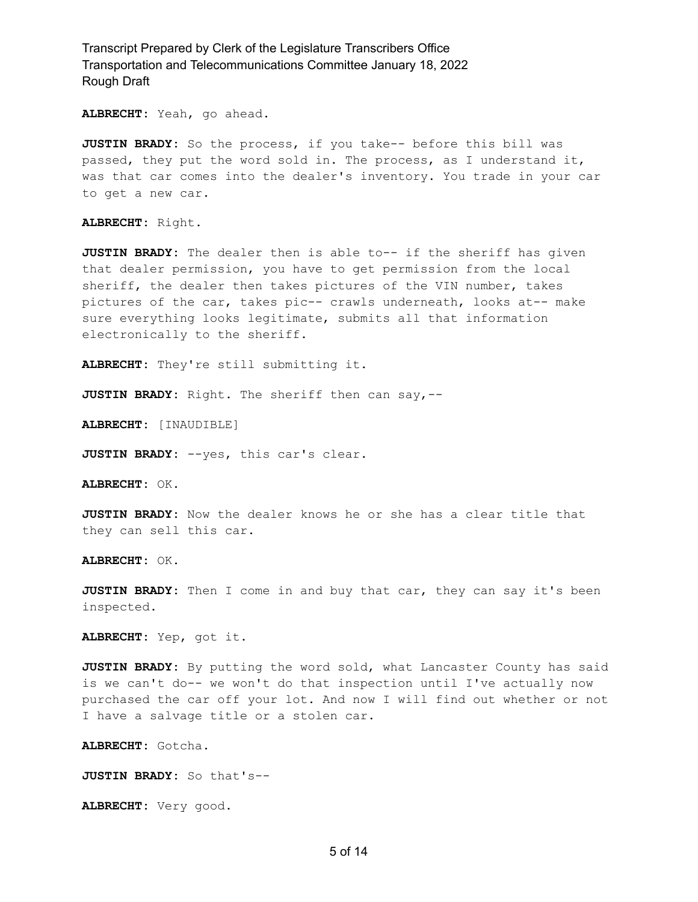**ALBRECHT:** Yeah, go ahead.

**JUSTIN BRADY:** So the process, if you take-- before this bill was passed, they put the word sold in. The process, as I understand it, was that car comes into the dealer's inventory. You trade in your car to get a new car.

**ALBRECHT:** Right.

**JUSTIN BRADY:** The dealer then is able to-- if the sheriff has given that dealer permission, you have to get permission from the local sheriff, the dealer then takes pictures of the VIN number, takes pictures of the car, takes pic-- crawls underneath, looks at-- make sure everything looks legitimate, submits all that information electronically to the sheriff.

**ALBRECHT:** They're still submitting it.

**JUSTIN BRADY:** Right. The sheriff then can say,--

**ALBRECHT:** [INAUDIBLE]

**JUSTIN BRADY:** --yes, this car's clear.

**ALBRECHT:** OK.

**JUSTIN BRADY:** Now the dealer knows he or she has a clear title that they can sell this car.

**ALBRECHT:** OK.

**JUSTIN BRADY:** Then I come in and buy that car, they can say it's been inspected.

**ALBRECHT:** Yep, got it.

**JUSTIN BRADY:** By putting the word sold, what Lancaster County has said is we can't do-- we won't do that inspection until I've actually now purchased the car off your lot. And now I will find out whether or not I have a salvage title or a stolen car.

**ALBRECHT:** Gotcha.

**JUSTIN BRADY:** So that's--

**ALBRECHT:** Very good.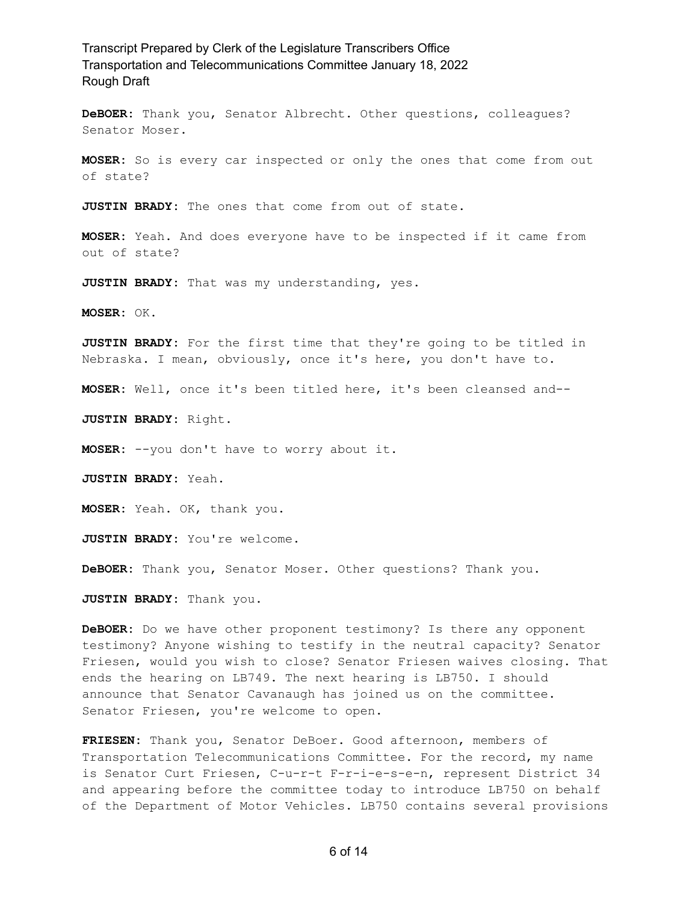**DeBOER:** Thank you, Senator Albrecht. Other questions, colleagues? Senator Moser.

**MOSER:** So is every car inspected or only the ones that come from out of state?

**JUSTIN BRADY:** The ones that come from out of state.

**MOSER:** Yeah. And does everyone have to be inspected if it came from out of state?

**JUSTIN BRADY:** That was my understanding, yes.

**MOSER:** OK.

**JUSTIN BRADY:** For the first time that they're going to be titled in Nebraska. I mean, obviously, once it's here, you don't have to.

**MOSER:** Well, once it's been titled here, it's been cleansed and--

**JUSTIN BRADY:** Right.

**MOSER:** --you don't have to worry about it.

**JUSTIN BRADY:** Yeah.

**MOSER:** Yeah. OK, thank you.

**JUSTIN BRADY:** You're welcome.

**DeBOER:** Thank you, Senator Moser. Other questions? Thank you.

**JUSTIN BRADY:** Thank you.

**DeBOER:** Do we have other proponent testimony? Is there any opponent testimony? Anyone wishing to testify in the neutral capacity? Senator Friesen, would you wish to close? Senator Friesen waives closing. That ends the hearing on LB749. The next hearing is LB750. I should announce that Senator Cavanaugh has joined us on the committee. Senator Friesen, you're welcome to open.

**FRIESEN:** Thank you, Senator DeBoer. Good afternoon, members of Transportation Telecommunications Committee. For the record, my name is Senator Curt Friesen, C-u-r-t F-r-i-e-s-e-n, represent District 34 and appearing before the committee today to introduce LB750 on behalf of the Department of Motor Vehicles. LB750 contains several provisions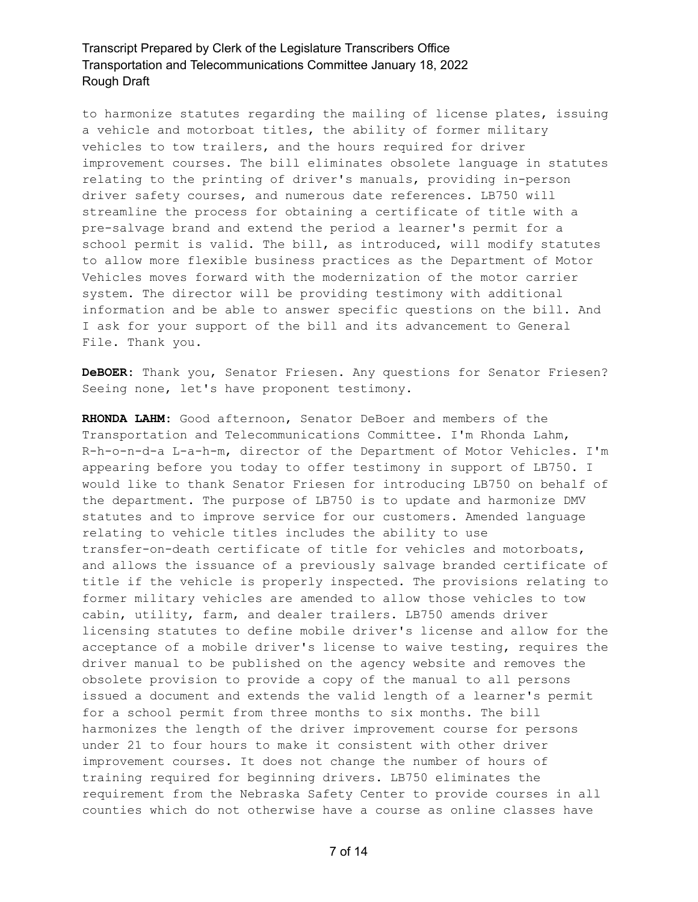to harmonize statutes regarding the mailing of license plates, issuing a vehicle and motorboat titles, the ability of former military vehicles to tow trailers, and the hours required for driver improvement courses. The bill eliminates obsolete language in statutes relating to the printing of driver's manuals, providing in-person driver safety courses, and numerous date references. LB750 will streamline the process for obtaining a certificate of title with a pre-salvage brand and extend the period a learner's permit for a school permit is valid. The bill, as introduced, will modify statutes to allow more flexible business practices as the Department of Motor Vehicles moves forward with the modernization of the motor carrier system. The director will be providing testimony with additional information and be able to answer specific questions on the bill. And I ask for your support of the bill and its advancement to General File. Thank you.

**DeBOER:** Thank you, Senator Friesen. Any questions for Senator Friesen? Seeing none, let's have proponent testimony.

**RHONDA LAHM:** Good afternoon, Senator DeBoer and members of the Transportation and Telecommunications Committee. I'm Rhonda Lahm, R-h-o-n-d-a L-a-h-m, director of the Department of Motor Vehicles. I'm appearing before you today to offer testimony in support of LB750. I would like to thank Senator Friesen for introducing LB750 on behalf of the department. The purpose of LB750 is to update and harmonize DMV statutes and to improve service for our customers. Amended language relating to vehicle titles includes the ability to use transfer-on-death certificate of title for vehicles and motorboats, and allows the issuance of a previously salvage branded certificate of title if the vehicle is properly inspected. The provisions relating to former military vehicles are amended to allow those vehicles to tow cabin, utility, farm, and dealer trailers. LB750 amends driver licensing statutes to define mobile driver's license and allow for the acceptance of a mobile driver's license to waive testing, requires the driver manual to be published on the agency website and removes the obsolete provision to provide a copy of the manual to all persons issued a document and extends the valid length of a learner's permit for a school permit from three months to six months. The bill harmonizes the length of the driver improvement course for persons under 21 to four hours to make it consistent with other driver improvement courses. It does not change the number of hours of training required for beginning drivers. LB750 eliminates the requirement from the Nebraska Safety Center to provide courses in all counties which do not otherwise have a course as online classes have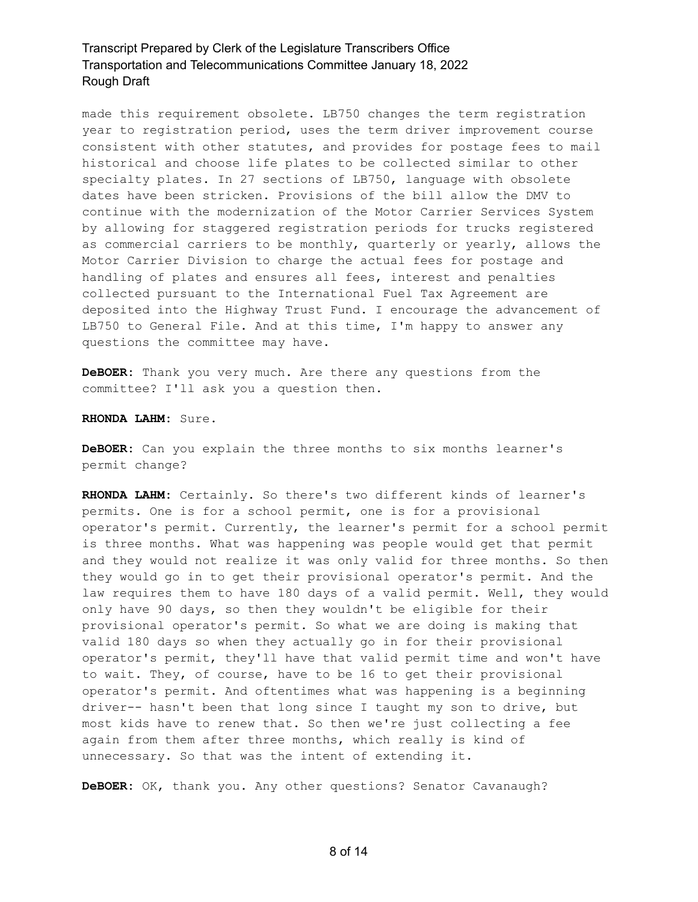made this requirement obsolete. LB750 changes the term registration year to registration period, uses the term driver improvement course consistent with other statutes, and provides for postage fees to mail historical and choose life plates to be collected similar to other specialty plates. In 27 sections of LB750, language with obsolete dates have been stricken. Provisions of the bill allow the DMV to continue with the modernization of the Motor Carrier Services System by allowing for staggered registration periods for trucks registered as commercial carriers to be monthly, quarterly or yearly, allows the Motor Carrier Division to charge the actual fees for postage and handling of plates and ensures all fees, interest and penalties collected pursuant to the International Fuel Tax Agreement are deposited into the Highway Trust Fund. I encourage the advancement of LB750 to General File. And at this time, I'm happy to answer any questions the committee may have.

**DeBOER:** Thank you very much. Are there any questions from the committee? I'll ask you a question then.

**RHONDA LAHM:** Sure.

**DeBOER:** Can you explain the three months to six months learner's permit change?

**RHONDA LAHM:** Certainly. So there's two different kinds of learner's permits. One is for a school permit, one is for a provisional operator's permit. Currently, the learner's permit for a school permit is three months. What was happening was people would get that permit and they would not realize it was only valid for three months. So then they would go in to get their provisional operator's permit. And the law requires them to have 180 days of a valid permit. Well, they would only have 90 days, so then they wouldn't be eligible for their provisional operator's permit. So what we are doing is making that valid 180 days so when they actually go in for their provisional operator's permit, they'll have that valid permit time and won't have to wait. They, of course, have to be 16 to get their provisional operator's permit. And oftentimes what was happening is a beginning driver-- hasn't been that long since I taught my son to drive, but most kids have to renew that. So then we're just collecting a fee again from them after three months, which really is kind of unnecessary. So that was the intent of extending it.

**DeBOER:** OK, thank you. Any other questions? Senator Cavanaugh?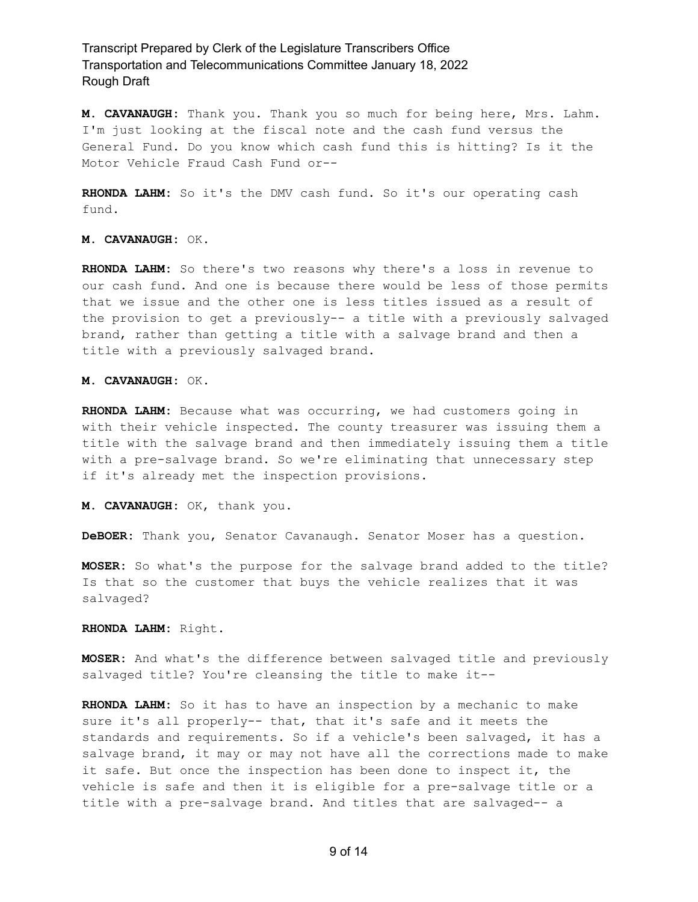**M. CAVANAUGH:** Thank you. Thank you so much for being here, Mrs. Lahm. I'm just looking at the fiscal note and the cash fund versus the General Fund. Do you know which cash fund this is hitting? Is it the Motor Vehicle Fraud Cash Fund or--

**RHONDA LAHM:** So it's the DMV cash fund. So it's our operating cash fund.

**M. CAVANAUGH:** OK.

**RHONDA LAHM:** So there's two reasons why there's a loss in revenue to our cash fund. And one is because there would be less of those permits that we issue and the other one is less titles issued as a result of the provision to get a previously-- a title with a previously salvaged brand, rather than getting a title with a salvage brand and then a title with a previously salvaged brand.

**M. CAVANAUGH:** OK.

**RHONDA LAHM:** Because what was occurring, we had customers going in with their vehicle inspected. The county treasurer was issuing them a title with the salvage brand and then immediately issuing them a title with a pre-salvage brand. So we're eliminating that unnecessary step if it's already met the inspection provisions.

**M. CAVANAUGH:** OK, thank you.

**DeBOER:** Thank you, Senator Cavanaugh. Senator Moser has a question.

**MOSER:** So what's the purpose for the salvage brand added to the title? Is that so the customer that buys the vehicle realizes that it was salvaged?

**RHONDA LAHM:** Right.

**MOSER:** And what's the difference between salvaged title and previously salvaged title? You're cleansing the title to make it--

**RHONDA LAHM:** So it has to have an inspection by a mechanic to make sure it's all properly-- that, that it's safe and it meets the standards and requirements. So if a vehicle's been salvaged, it has a salvage brand, it may or may not have all the corrections made to make it safe. But once the inspection has been done to inspect it, the vehicle is safe and then it is eligible for a pre-salvage title or a title with a pre-salvage brand. And titles that are salvaged-- a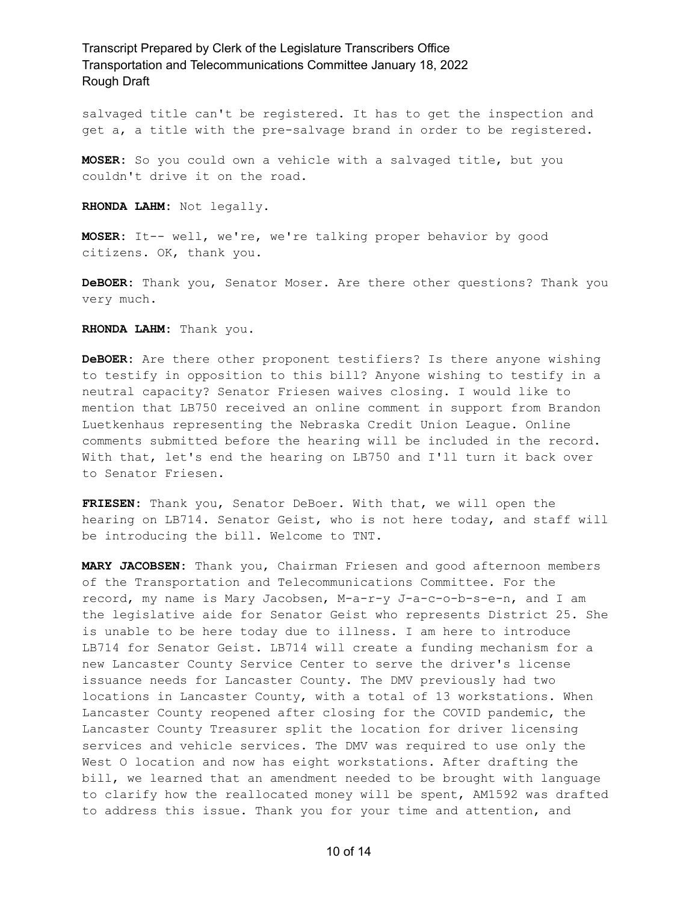salvaged title can't be registered. It has to get the inspection and get a, a title with the pre-salvage brand in order to be registered.

**MOSER:** So you could own a vehicle with a salvaged title, but you couldn't drive it on the road.

**RHONDA LAHM:** Not legally.

**MOSER:** It-- well, we're, we're talking proper behavior by good citizens. OK, thank you.

**DeBOER:** Thank you, Senator Moser. Are there other questions? Thank you very much.

**RHONDA LAHM:** Thank you.

**DeBOER:** Are there other proponent testifiers? Is there anyone wishing to testify in opposition to this bill? Anyone wishing to testify in a neutral capacity? Senator Friesen waives closing. I would like to mention that LB750 received an online comment in support from Brandon Luetkenhaus representing the Nebraska Credit Union League. Online comments submitted before the hearing will be included in the record. With that, let's end the hearing on LB750 and I'll turn it back over to Senator Friesen.

**FRIESEN:** Thank you, Senator DeBoer. With that, we will open the hearing on LB714. Senator Geist, who is not here today, and staff will be introducing the bill. Welcome to TNT.

**MARY JACOBSEN:** Thank you, Chairman Friesen and good afternoon members of the Transportation and Telecommunications Committee. For the record, my name is Mary Jacobsen, M-a-r-y J-a-c-o-b-s-e-n, and I am the legislative aide for Senator Geist who represents District 25. She is unable to be here today due to illness. I am here to introduce LB714 for Senator Geist. LB714 will create a funding mechanism for a new Lancaster County Service Center to serve the driver's license issuance needs for Lancaster County. The DMV previously had two locations in Lancaster County, with a total of 13 workstations. When Lancaster County reopened after closing for the COVID pandemic, the Lancaster County Treasurer split the location for driver licensing services and vehicle services. The DMV was required to use only the West O location and now has eight workstations. After drafting the bill, we learned that an amendment needed to be brought with language to clarify how the reallocated money will be spent, AM1592 was drafted to address this issue. Thank you for your time and attention, and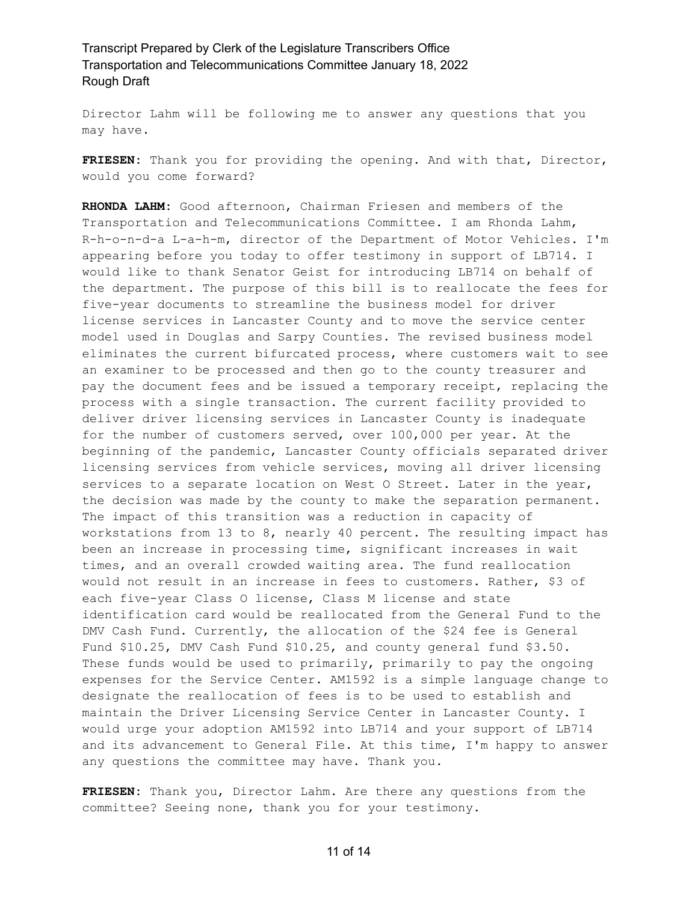Director Lahm will be following me to answer any questions that you may have.

**FRIESEN:** Thank you for providing the opening. And with that, Director, would you come forward?

**RHONDA LAHM:** Good afternoon, Chairman Friesen and members of the Transportation and Telecommunications Committee. I am Rhonda Lahm, R-h-o-n-d-a L-a-h-m, director of the Department of Motor Vehicles. I'm appearing before you today to offer testimony in support of LB714. I would like to thank Senator Geist for introducing LB714 on behalf of the department. The purpose of this bill is to reallocate the fees for five-year documents to streamline the business model for driver license services in Lancaster County and to move the service center model used in Douglas and Sarpy Counties. The revised business model eliminates the current bifurcated process, where customers wait to see an examiner to be processed and then go to the county treasurer and pay the document fees and be issued a temporary receipt, replacing the process with a single transaction. The current facility provided to deliver driver licensing services in Lancaster County is inadequate for the number of customers served, over 100,000 per year. At the beginning of the pandemic, Lancaster County officials separated driver licensing services from vehicle services, moving all driver licensing services to a separate location on West O Street. Later in the year, the decision was made by the county to make the separation permanent. The impact of this transition was a reduction in capacity of workstations from 13 to 8, nearly 40 percent. The resulting impact has been an increase in processing time, significant increases in wait times, and an overall crowded waiting area. The fund reallocation would not result in an increase in fees to customers. Rather, \$3 of each five-year Class O license, Class M license and state identification card would be reallocated from the General Fund to the DMV Cash Fund. Currently, the allocation of the \$24 fee is General Fund \$10.25, DMV Cash Fund \$10.25, and county general fund \$3.50. These funds would be used to primarily, primarily to pay the ongoing expenses for the Service Center. AM1592 is a simple language change to designate the reallocation of fees is to be used to establish and maintain the Driver Licensing Service Center in Lancaster County. I would urge your adoption AM1592 into LB714 and your support of LB714 and its advancement to General File. At this time, I'm happy to answer any questions the committee may have. Thank you.

**FRIESEN:** Thank you, Director Lahm. Are there any questions from the committee? Seeing none, thank you for your testimony.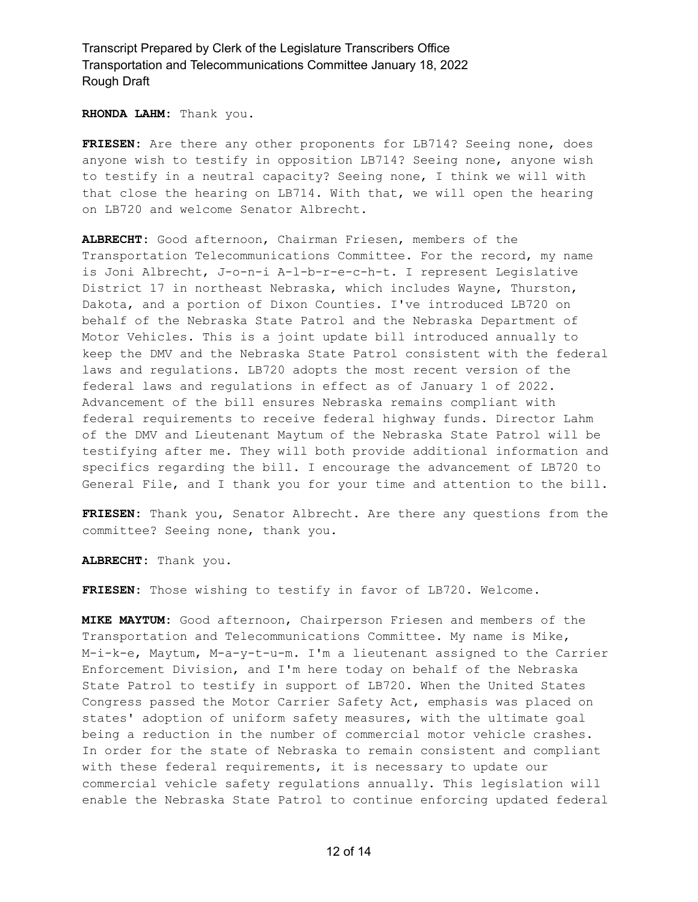**RHONDA LAHM:** Thank you.

**FRIESEN:** Are there any other proponents for LB714? Seeing none, does anyone wish to testify in opposition LB714? Seeing none, anyone wish to testify in a neutral capacity? Seeing none, I think we will with that close the hearing on LB714. With that, we will open the hearing on LB720 and welcome Senator Albrecht.

**ALBRECHT:** Good afternoon, Chairman Friesen, members of the Transportation Telecommunications Committee. For the record, my name is Joni Albrecht, J-o-n-i A-l-b-r-e-c-h-t. I represent Legislative District 17 in northeast Nebraska, which includes Wayne, Thurston, Dakota, and a portion of Dixon Counties. I've introduced LB720 on behalf of the Nebraska State Patrol and the Nebraska Department of Motor Vehicles. This is a joint update bill introduced annually to keep the DMV and the Nebraska State Patrol consistent with the federal laws and regulations. LB720 adopts the most recent version of the federal laws and regulations in effect as of January 1 of 2022. Advancement of the bill ensures Nebraska remains compliant with federal requirements to receive federal highway funds. Director Lahm of the DMV and Lieutenant Maytum of the Nebraska State Patrol will be testifying after me. They will both provide additional information and specifics regarding the bill. I encourage the advancement of LB720 to General File, and I thank you for your time and attention to the bill.

**FRIESEN:** Thank you, Senator Albrecht. Are there any questions from the committee? Seeing none, thank you.

**ALBRECHT:** Thank you.

**FRIESEN:** Those wishing to testify in favor of LB720. Welcome.

**MIKE MAYTUM:** Good afternoon, Chairperson Friesen and members of the Transportation and Telecommunications Committee. My name is Mike, M-i-k-e, Maytum, M-a-y-t-u-m. I'm a lieutenant assigned to the Carrier Enforcement Division, and I'm here today on behalf of the Nebraska State Patrol to testify in support of LB720. When the United States Congress passed the Motor Carrier Safety Act, emphasis was placed on states' adoption of uniform safety measures, with the ultimate goal being a reduction in the number of commercial motor vehicle crashes. In order for the state of Nebraska to remain consistent and compliant with these federal requirements, it is necessary to update our commercial vehicle safety regulations annually. This legislation will enable the Nebraska State Patrol to continue enforcing updated federal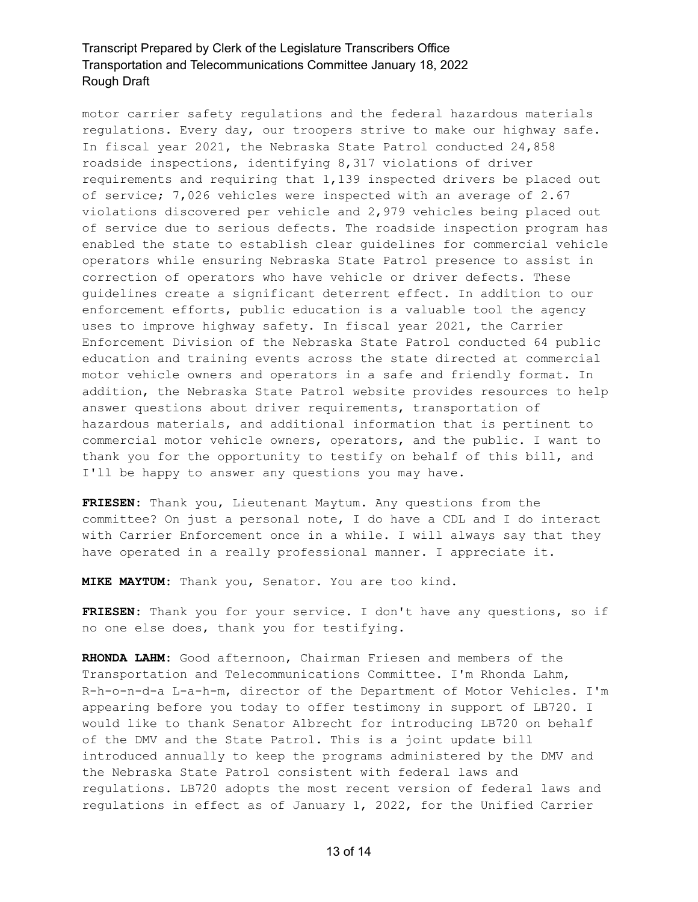motor carrier safety regulations and the federal hazardous materials regulations. Every day, our troopers strive to make our highway safe. In fiscal year 2021, the Nebraska State Patrol conducted 24,858 roadside inspections, identifying 8,317 violations of driver requirements and requiring that 1,139 inspected drivers be placed out of service; 7,026 vehicles were inspected with an average of 2.67 violations discovered per vehicle and 2,979 vehicles being placed out of service due to serious defects. The roadside inspection program has enabled the state to establish clear guidelines for commercial vehicle operators while ensuring Nebraska State Patrol presence to assist in correction of operators who have vehicle or driver defects. These guidelines create a significant deterrent effect. In addition to our enforcement efforts, public education is a valuable tool the agency uses to improve highway safety. In fiscal year 2021, the Carrier Enforcement Division of the Nebraska State Patrol conducted 64 public education and training events across the state directed at commercial motor vehicle owners and operators in a safe and friendly format. In addition, the Nebraska State Patrol website provides resources to help answer questions about driver requirements, transportation of hazardous materials, and additional information that is pertinent to commercial motor vehicle owners, operators, and the public. I want to thank you for the opportunity to testify on behalf of this bill, and I'll be happy to answer any questions you may have.

**FRIESEN:** Thank you, Lieutenant Maytum. Any questions from the committee? On just a personal note, I do have a CDL and I do interact with Carrier Enforcement once in a while. I will always say that they have operated in a really professional manner. I appreciate it.

**MIKE MAYTUM:** Thank you, Senator. You are too kind.

**FRIESEN:** Thank you for your service. I don't have any questions, so if no one else does, thank you for testifying.

**RHONDA LAHM:** Good afternoon, Chairman Friesen and members of the Transportation and Telecommunications Committee. I'm Rhonda Lahm, R-h-o-n-d-a L-a-h-m, director of the Department of Motor Vehicles. I'm appearing before you today to offer testimony in support of LB720. I would like to thank Senator Albrecht for introducing LB720 on behalf of the DMV and the State Patrol. This is a joint update bill introduced annually to keep the programs administered by the DMV and the Nebraska State Patrol consistent with federal laws and regulations. LB720 adopts the most recent version of federal laws and regulations in effect as of January 1, 2022, for the Unified Carrier